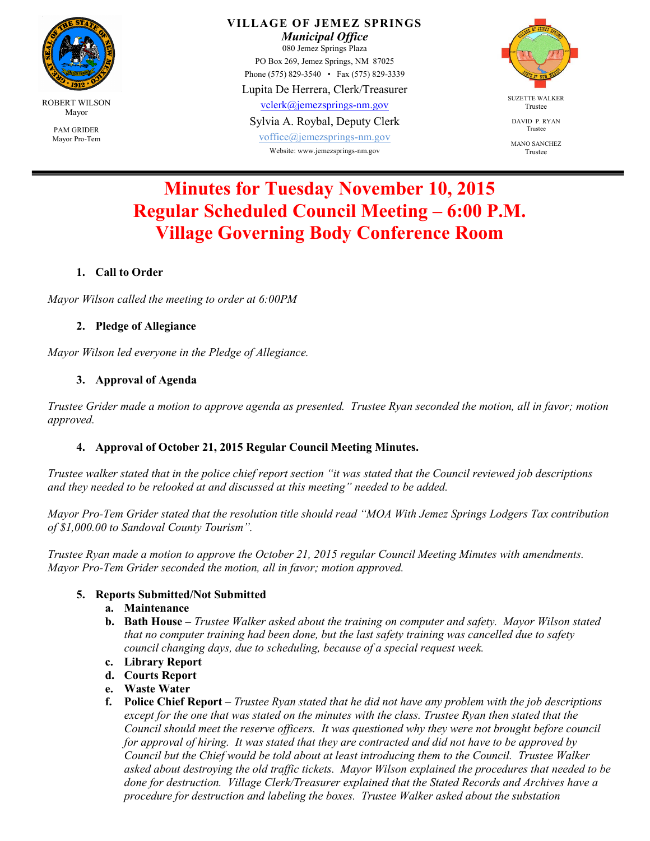

**VILLAGE OF JEMEZ SPRINGS** 

*Municipal Office*  080 Jemez Springs Plaza PO Box 269, Jemez Springs, NM 87025 Phone (575) 829-3540 • Fax (575) 829-3339

Lupita De Herrera, Clerk/Treasurer

vclerk@jemezsprings-nm.gov

Sylvia A. Roybal, Deputy Clerk

voffice@jemezsprings-nm.gov Website: www.jemezsprings-nm.gov



DAVID P. RYAN Trustee

MANO SANCHEZ Trustee

# **Minutes for Tuesday November 10, 2015 Regular Scheduled Council Meeting – 6:00 P.M. Village Governing Body Conference Room**

## **1. Call to Order**

*Mayor Wilson called the meeting to order at 6:00PM* 

#### **2. Pledge of Allegiance**

*Mayor Wilson led everyone in the Pledge of Allegiance.* 

## **3. Approval of Agenda**

*Trustee Grider made a motion to approve agenda as presented. Trustee Ryan seconded the motion, all in favor; motion approved.* 

# **4. Approval of October 21, 2015 Regular Council Meeting Minutes.**

*Trustee walker stated that in the police chief report section "it was stated that the Council reviewed job descriptions and they needed to be relooked at and discussed at this meeting" needed to be added.* 

*Mayor Pro-Tem Grider stated that the resolution title should read "MOA With Jemez Springs Lodgers Tax contribution of \$1,000.00 to Sandoval County Tourism".* 

*Trustee Ryan made a motion to approve the October 21, 2015 regular Council Meeting Minutes with amendments. Mayor Pro-Tem Grider seconded the motion, all in favor; motion approved.* 

#### **5. Reports Submitted/Not Submitted**

- **a. Maintenance**
- **b. Bath House** *Trustee Walker asked about the training on computer and safety. Mayor Wilson stated that no computer training had been done, but the last safety training was cancelled due to safety council changing days, due to scheduling, because of a special request week.*
- **c. Library Report**
- **d. Courts Report**
- **e. Waste Water**
- **f. Police Chief Report** *Trustee Ryan stated that he did not have any problem with the job descriptions except for the one that was stated on the minutes with the class. Trustee Ryan then stated that the Council should meet the reserve officers. It was questioned why they were not brought before council for approval of hiring. It was stated that they are contracted and did not have to be approved by Council but the Chief would be told about at least introducing them to the Council. Trustee Walker asked about destroying the old traffic tickets. Mayor Wilson explained the procedures that needed to be done for destruction. Village Clerk/Treasurer explained that the Stated Records and Archives have a procedure for destruction and labeling the boxes. Trustee Walker asked about the substation*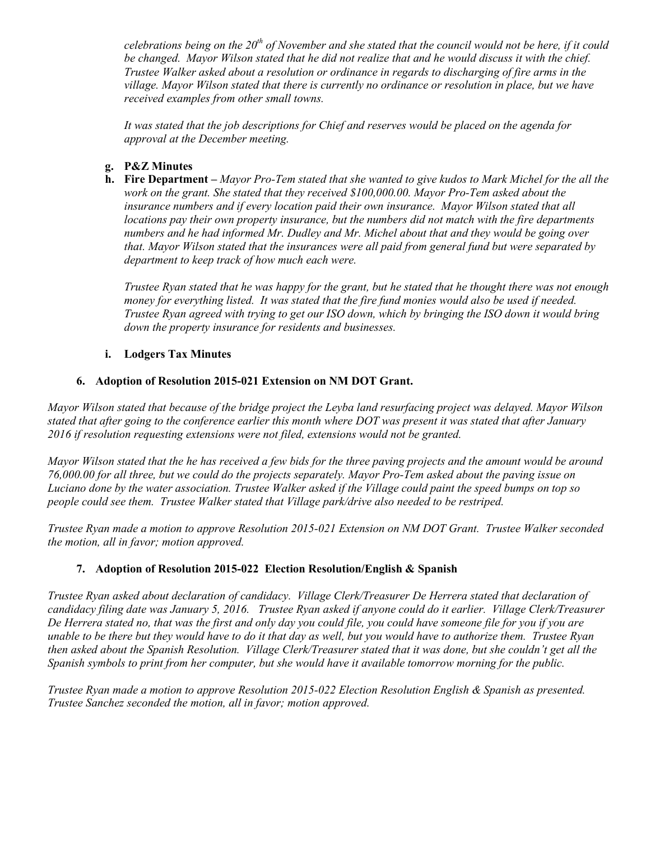*celebrations being on the 20th of November and she stated that the council would not be here, if it could be changed. Mayor Wilson stated that he did not realize that and he would discuss it with the chief. Trustee Walker asked about a resolution or ordinance in regards to discharging of fire arms in the village. Mayor Wilson stated that there is currently no ordinance or resolution in place, but we have received examples from other small towns.*

*It was stated that the job descriptions for Chief and reserves would be placed on the agenda for approval at the December meeting.* 

#### **g. P&Z Minutes**

**h. Fire Department –** *Mayor Pro-Tem stated that she wanted to give kudos to Mark Michel for the all the work on the grant. She stated that they received \$100,000.00. Mayor Pro-Tem asked about the insurance numbers and if every location paid their own insurance. Mayor Wilson stated that all locations pay their own property insurance, but the numbers did not match with the fire departments numbers and he had informed Mr. Dudley and Mr. Michel about that and they would be going over that. Mayor Wilson stated that the insurances were all paid from general fund but were separated by department to keep track of how much each were.*

*Trustee Ryan stated that he was happy for the grant, but he stated that he thought there was not enough money for everything listed. It was stated that the fire fund monies would also be used if needed. Trustee Ryan agreed with trying to get our ISO down, which by bringing the ISO down it would bring down the property insurance for residents and businesses.* 

#### **i. Lodgers Tax Minutes**

#### **6. Adoption of Resolution 2015-021 Extension on NM DOT Grant.**

*Mayor Wilson stated that because of the bridge project the Leyba land resurfacing project was delayed. Mayor Wilson stated that after going to the conference earlier this month where DOT was present it was stated that after January 2016 if resolution requesting extensions were not filed, extensions would not be granted.* 

*Mayor Wilson stated that the he has received a few bids for the three paving projects and the amount would be around 76,000.00 for all three, but we could do the projects separately. Mayor Pro-Tem asked about the paving issue on Luciano done by the water association. Trustee Walker asked if the Village could paint the speed bumps on top so people could see them. Trustee Walker stated that Village park/drive also needed to be restriped.* 

*Trustee Ryan made a motion to approve Resolution 2015-021 Extension on NM DOT Grant. Trustee Walker seconded the motion, all in favor; motion approved.* 

# **7. Adoption of Resolution 2015-022 Election Resolution/English & Spanish**

*Trustee Ryan asked about declaration of candidacy. Village Clerk/Treasurer De Herrera stated that declaration of candidacy filing date was January 5, 2016. Trustee Ryan asked if anyone could do it earlier. Village Clerk/Treasurer De Herrera stated no, that was the first and only day you could file, you could have someone file for you if you are unable to be there but they would have to do it that day as well, but you would have to authorize them. Trustee Ryan then asked about the Spanish Resolution. Village Clerk/Treasurer stated that it was done, but she couldn't get all the Spanish symbols to print from her computer, but she would have it available tomorrow morning for the public.* 

*Trustee Ryan made a motion to approve Resolution 2015-022 Election Resolution English & Spanish as presented. Trustee Sanchez seconded the motion, all in favor; motion approved.*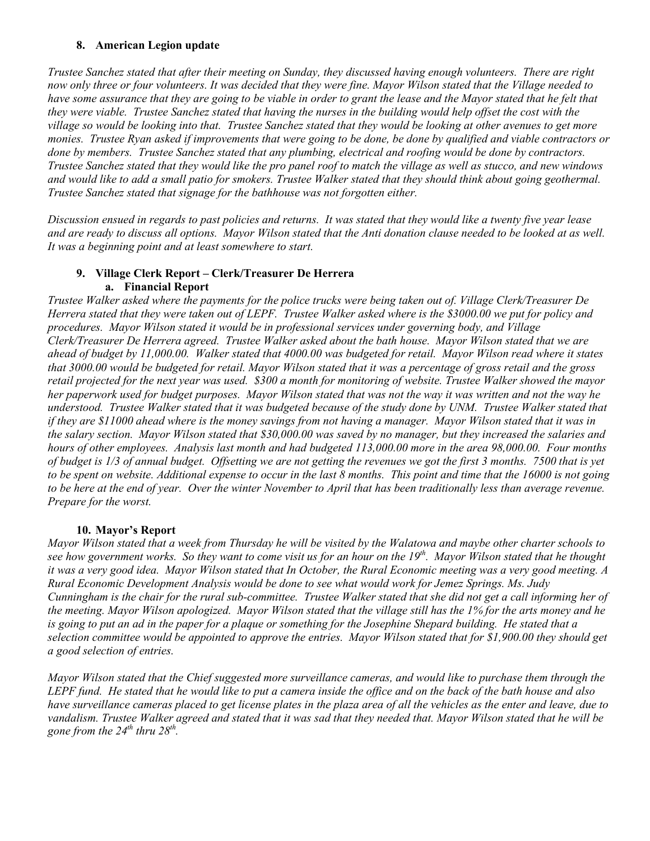#### **8. American Legion update**

*Trustee Sanchez stated that after their meeting on Sunday, they discussed having enough volunteers. There are right now only three or four volunteers. It was decided that they were fine. Mayor Wilson stated that the Village needed to have some assurance that they are going to be viable in order to grant the lease and the Mayor stated that he felt that they were viable. Trustee Sanchez stated that having the nurses in the building would help offset the cost with the village so would be looking into that. Trustee Sanchez stated that they would be looking at other avenues to get more monies. Trustee Ryan asked if improvements that were going to be done, be done by qualified and viable contractors or*  done by members. Trustee Sanchez stated that any plumbing, electrical and roofing would be done by contractors. *Trustee Sanchez stated that they would like the pro panel roof to match the village as well as stucco, and new windows and would like to add a small patio for smokers. Trustee Walker stated that they should think about going geothermal. Trustee Sanchez stated that signage for the bathhouse was not forgotten either.* 

*Discussion ensued in regards to past policies and returns. It was stated that they would like a twenty five year lease and are ready to discuss all options. Mayor Wilson stated that the Anti donation clause needed to be looked at as well. It was a beginning point and at least somewhere to start.* 

## **9. Village Clerk Report – Clerk/Treasurer De Herrera a. Financial Report**

*Trustee Walker asked where the payments for the police trucks were being taken out of. Village Clerk/Treasurer De Herrera stated that they were taken out of LEPF. Trustee Walker asked where is the \$3000.00 we put for policy and procedures. Mayor Wilson stated it would be in professional services under governing body, and Village Clerk/Treasurer De Herrera agreed. Trustee Walker asked about the bath house. Mayor Wilson stated that we are ahead of budget by 11,000.00. Walker stated that 4000.00 was budgeted for retail. Mayor Wilson read where it states that 3000.00 would be budgeted for retail. Mayor Wilson stated that it was a percentage of gross retail and the gross retail projected for the next year was used. \$300 a month for monitoring of website. Trustee Walker showed the mayor her paperwork used for budget purposes. Mayor Wilson stated that was not the way it was written and not the way he* understood. Trustee Walker stated that it was budgeted because of the study done by UNM. Trustee Walker stated that *if they are \$11000 ahead where is the money savings from not having a manager. Mayor Wilson stated that it was in the salary section. Mayor Wilson stated that \$30,000.00 was saved by no manager, but they increased the salaries and hours of other employees. Analysis last month and had budgeted 113,000.00 more in the area 98,000.00. Four months of budget is 1/3 of annual budget. Offsetting we are not getting the revenues we got the first 3 months. 7500 that is yet to be spent on website. Additional expense to occur in the last 8 months. This point and time that the 16000 is not going to be here at the end of year. Over the winter November to April that has been traditionally less than average revenue. Prepare for the worst.* 

#### **10. Mayor's Report**

*Mayor Wilson stated that a week from Thursday he will be visited by the Walatowa and maybe other charter schools to see how government works. So they want to come visit us for an hour on the 19th. Mayor Wilson stated that he thought it was a very good idea. Mayor Wilson stated that In October, the Rural Economic meeting was a very good meeting. A Rural Economic Development Analysis would be done to see what would work for Jemez Springs. Ms. Judy Cunningham is the chair for the rural sub-committee. Trustee Walker stated that she did not get a call informing her of the meeting. Mayor Wilson apologized. Mayor Wilson stated that the village still has the 1% for the arts money and he is going to put an ad in the paper for a plaque or something for the Josephine Shepard building. He stated that a selection committee would be appointed to approve the entries. Mayor Wilson stated that for \$1,900.00 they should get a good selection of entries.* 

*Mayor Wilson stated that the Chief suggested more surveillance cameras, and would like to purchase them through the LEPF fund. He stated that he would like to put a camera inside the office and on the back of the bath house and also have surveillance cameras placed to get license plates in the plaza area of all the vehicles as the enter and leave, due to*  vandalism. Trustee Walker agreed and stated that it was sad that they needed that. Mayor Wilson stated that he will be *gone from the 24<sup>th</sup> thru 28<sup>th</sup>.*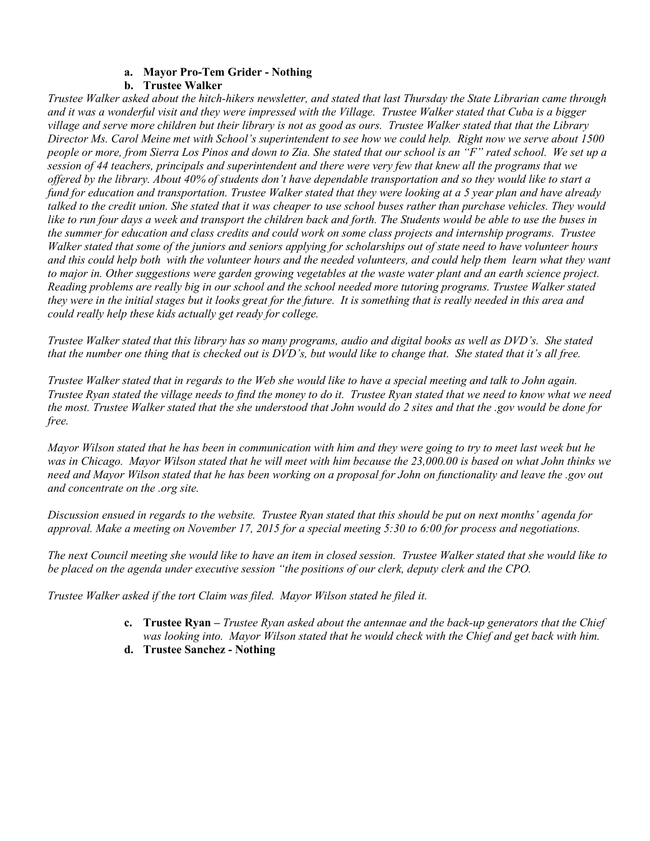#### **a. Mayor Pro-Tem Grider - Nothing**

#### **b. Trustee Walker**

*Trustee Walker asked about the hitch-hikers newsletter, and stated that last Thursday the State Librarian came through and it was a wonderful visit and they were impressed with the Village. Trustee Walker stated that Cuba is a bigger village and serve more children but their library is not as good as ours. Trustee Walker stated that that the Library Director Ms. Carol Meine met with School's superintendent to see how we could help. Right now we serve about 1500 people or more, from Sierra Los Pinos and down to Zia. She stated that our school is an "F" rated school. We set up a session of 44 teachers, principals and superintendent and there were very few that knew all the programs that we offered by the library. About 40% of students don't have dependable transportation and so they would like to start a fund for education and transportation. Trustee Walker stated that they were looking at a 5 year plan and have already talked to the credit union. She stated that it was cheaper to use school buses rather than purchase vehicles. They would like to run four days a week and transport the children back and forth. The Students would be able to use the buses in the summer for education and class credits and could work on some class projects and internship programs. Trustee Walker stated that some of the juniors and seniors applying for scholarships out of state need to have volunteer hours*  and this could help both with the volunteer hours and the needed volunteers, and could help them learn what they want *to major in. Other suggestions were garden growing vegetables at the waste water plant and an earth science project. Reading problems are really big in our school and the school needed more tutoring programs. Trustee Walker stated they were in the initial stages but it looks great for the future. It is something that is really needed in this area and could really help these kids actually get ready for college.* 

*Trustee Walker stated that this library has so many programs, audio and digital books as well as DVD's. She stated that the number one thing that is checked out is DVD's, but would like to change that. She stated that it's all free.* 

*Trustee Walker stated that in regards to the Web she would like to have a special meeting and talk to John again. Trustee Ryan stated the village needs to find the money to do it. Trustee Ryan stated that we need to know what we need the most. Trustee Walker stated that the she understood that John would do 2 sites and that the .gov would be done for free.* 

*Mayor Wilson stated that he has been in communication with him and they were going to try to meet last week but he was in Chicago. Mayor Wilson stated that he will meet with him because the 23,000.00 is based on what John thinks we need and Mayor Wilson stated that he has been working on a proposal for John on functionality and leave the .gov out and concentrate on the .org site.* 

*Discussion ensued in regards to the website. Trustee Ryan stated that this should be put on next months' agenda for approval. Make a meeting on November 17, 2015 for a special meeting 5:30 to 6:00 for process and negotiations.* 

*The next Council meeting she would like to have an item in closed session. Trustee Walker stated that she would like to be placed on the agenda under executive session "the positions of our clerk, deputy clerk and the CPO.*

*Trustee Walker asked if the tort Claim was filed. Mayor Wilson stated he filed it.* 

- **c. Trustee Ryan** *Trustee Ryan asked about the antennae and the back-up generators that the Chief was looking into. Mayor Wilson stated that he would check with the Chief and get back with him.*
- **d. Trustee Sanchez Nothing**